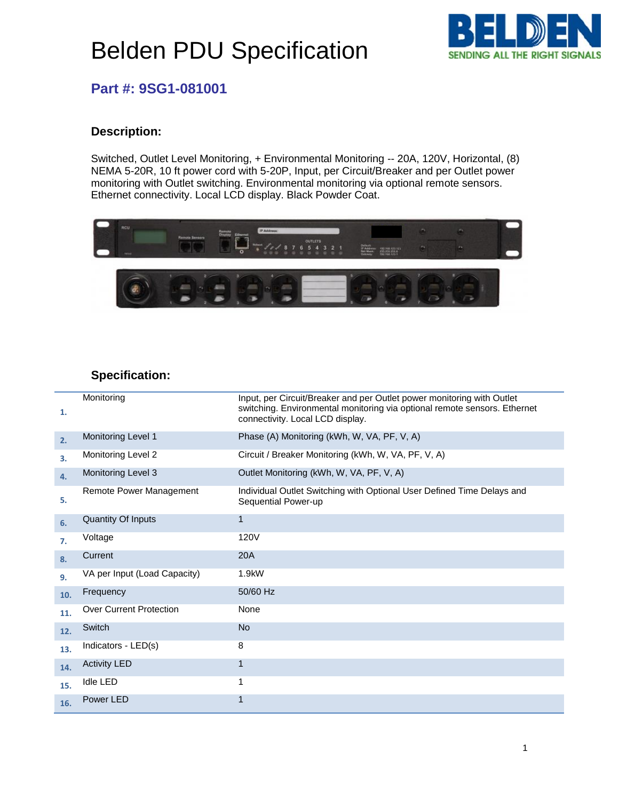# Belden PDU Specification



### **Part #: 9SG1-081001**

#### **Description:**

Switched, Outlet Level Monitoring, + Environmental Monitoring -- 20A, 120V, Horizontal, (8) NEMA 5-20R, 10 ft power cord with 5-20P, Input, per Circuit/Breaker and per Outlet power monitoring with Outlet switching. Environmental monitoring via optional remote sensors. Ethernet connectivity. Local LCD display. Black Powder Coat.



#### **Specification:**

| 1.  | Monitoring                     | Input, per Circuit/Breaker and per Outlet power monitoring with Outlet<br>switching. Environmental monitoring via optional remote sensors. Ethernet<br>connectivity. Local LCD display. |
|-----|--------------------------------|-----------------------------------------------------------------------------------------------------------------------------------------------------------------------------------------|
| 2.  | Monitoring Level 1             | Phase (A) Monitoring (kWh, W, VA, PF, V, A)                                                                                                                                             |
| 3.  | Monitoring Level 2             | Circuit / Breaker Monitoring (kWh, W, VA, PF, V, A)                                                                                                                                     |
| 4.  | Monitoring Level 3             | Outlet Monitoring (kWh, W, VA, PF, V, A)                                                                                                                                                |
| 5.  | Remote Power Management        | Individual Outlet Switching with Optional User Defined Time Delays and<br>Sequential Power-up                                                                                           |
| 6.  | <b>Quantity Of Inputs</b>      | $\mathbf{1}$                                                                                                                                                                            |
| 7.  | Voltage                        | 120V                                                                                                                                                                                    |
| 8.  | Current                        | 20A                                                                                                                                                                                     |
| 9.  | VA per Input (Load Capacity)   | 1.9kW                                                                                                                                                                                   |
| 10. | Frequency                      | 50/60 Hz                                                                                                                                                                                |
| 11. | <b>Over Current Protection</b> | None                                                                                                                                                                                    |
| 12. | Switch                         | <b>No</b>                                                                                                                                                                               |
| 13. | Indicators - LED(s)            | 8                                                                                                                                                                                       |
| 14. | <b>Activity LED</b>            | $\mathbf{1}$                                                                                                                                                                            |
| 15. | <b>Idle LED</b>                | 1                                                                                                                                                                                       |
| 16. | Power LED                      | 1                                                                                                                                                                                       |
|     |                                |                                                                                                                                                                                         |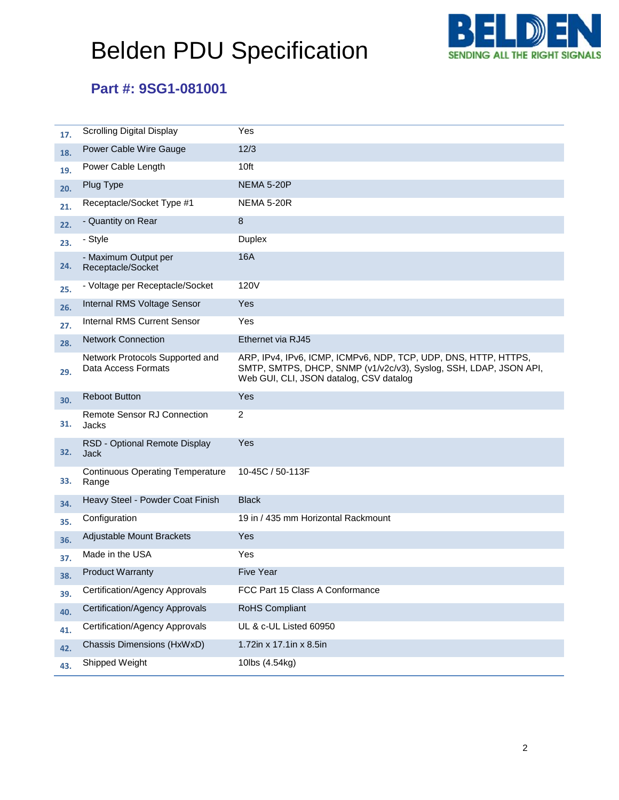# Belden PDU Specification



### **Part #: 9SG1-081001**

| 17. | <b>Scrolling Digital Display</b>                       | Yes                                                                                                                                                                             |
|-----|--------------------------------------------------------|---------------------------------------------------------------------------------------------------------------------------------------------------------------------------------|
| 18. | Power Cable Wire Gauge                                 | 12/3                                                                                                                                                                            |
| 19. | Power Cable Length                                     | 10ft                                                                                                                                                                            |
| 20. | Plug Type                                              | <b>NEMA 5-20P</b>                                                                                                                                                               |
| 21. | Receptacle/Socket Type #1                              | <b>NEMA 5-20R</b>                                                                                                                                                               |
| 22. | - Quantity on Rear                                     | 8                                                                                                                                                                               |
| 23. | - Style                                                | <b>Duplex</b>                                                                                                                                                                   |
| 24. | - Maximum Output per<br>Receptacle/Socket              | 16A                                                                                                                                                                             |
| 25. | - Voltage per Receptacle/Socket                        | 120V                                                                                                                                                                            |
| 26. | Internal RMS Voltage Sensor                            | Yes                                                                                                                                                                             |
| 27. | <b>Internal RMS Current Sensor</b>                     | Yes                                                                                                                                                                             |
| 28. | <b>Network Connection</b>                              | Ethernet via RJ45                                                                                                                                                               |
| 29. | Network Protocols Supported and<br>Data Access Formats | ARP, IPv4, IPv6, ICMP, ICMPv6, NDP, TCP, UDP, DNS, HTTP, HTTPS,<br>SMTP, SMTPS, DHCP, SNMP (v1/v2c/v3), Syslog, SSH, LDAP, JSON API,<br>Web GUI, CLI, JSON datalog, CSV datalog |
| 30. | <b>Reboot Button</b>                                   | Yes                                                                                                                                                                             |
| 31. | <b>Remote Sensor RJ Connection</b><br>Jacks            | $\overline{2}$                                                                                                                                                                  |
| 32. | RSD - Optional Remote Display<br><b>Jack</b>           | Yes                                                                                                                                                                             |
| 33. | <b>Continuous Operating Temperature</b><br>Range       | 10-45C / 50-113F                                                                                                                                                                |
| 34. | Heavy Steel - Powder Coat Finish                       | <b>Black</b>                                                                                                                                                                    |
| 35. | Configuration                                          | 19 in / 435 mm Horizontal Rackmount                                                                                                                                             |
| 36. | Adjustable Mount Brackets                              | Yes                                                                                                                                                                             |
| 37. | Made in the USA                                        | Yes                                                                                                                                                                             |
| 38. | <b>Product Warranty</b>                                | <b>Five Year</b>                                                                                                                                                                |
| 39. | Certification/Agency Approvals                         | FCC Part 15 Class A Conformance                                                                                                                                                 |
| 40. | Certification/Agency Approvals                         | <b>RoHS Compliant</b>                                                                                                                                                           |
| 41. | Certification/Agency Approvals                         | UL & c-UL Listed 60950                                                                                                                                                          |
| 42. | Chassis Dimensions (HxWxD)                             | 1.72in x 17.1in x 8.5in                                                                                                                                                         |
| 43. | Shipped Weight                                         | 10lbs (4.54kg)                                                                                                                                                                  |